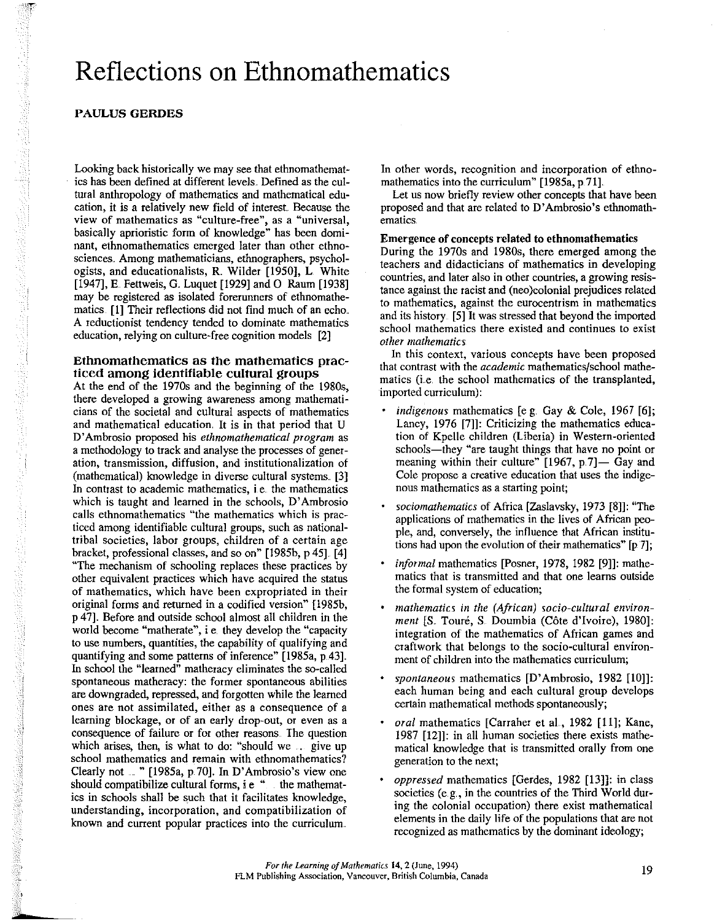# **Reflections on Ethnomathematics**

# **PAULUS GERDES**

Looking back historically we may see that ethnomathematics has been defined at different levels. Defined as the cultural anthropology of mathematics and mathematical education, it is a relatively new field of interest Because the view of mathematics as "culture-free", as a "universal, basically aprioristic form of knowledge" has been dominant, ethnomathematics emerged later than other ethnosciences. Among mathematicians, ethnographers, psychologists, and educationalists, R. Wilder [1950], **L** White [1947], E.. Fettweis, G. Luquet [1929] and 0 Raum [1938] may be registered as isolated forerunners of ethnomathematics. [I] Their reflections did not find much of an echo A reductionist tendency tended to dominate mathematics education, relying on culture-free cognition models [2]

#### **Ethnomathematics as the mathematics practiced among identifiable cultural groups**

At the end of the 1970s and the beginning of the 1980s, there developed a growing awareness among mathematicians of the societal and cultural aspects of mathematics and mathematical education. It is in that period that U D'Ambrosio proposed his *ethnomathematical program* as a methodology to track and analyse the processes of gener**ation, transmission, diffusion, and institutionalization of**  (mathematical) knowledge in diverse cultural systems. [3] **In contrast to academic mathematics, i.e .. the mathematics**  which is taught and learned in the schools, D'Ambrosio calls ethnomathematics "the mathematics which is practiced among identifiable cultural groups, such as nationaltribal societies, labor groups, children of a certain age bracket, professional classes, and so on" [1985b, p 45]. [4] "The mechanism of schooling replaces these practices by other equivalent practices which have acquired the status of mathematics, which have been expropriated in their original forms and returned in a codified version" [1985b, p 47]. Before and outside school almost all children in the world become "matherate", i e. they develop the "capacity to use numbers, quantities, the capability of qualifying and quantifying and some patterns of inference" [1985a, p.43]. In school the "learned" matheracy eliminates the so-called **spontaneous matheracy: the former spontaneous abilities**  are downgraded, repressed, and forgotten while the learned **ones are not assimilated, either as a consequence of a**  learning blockage, or of an early drop-out, or even as a consequence of failure or for other reasons .. The question which arises, then, is what to do: "should we ... give up school mathematics and remain with ethnomathematics? Clearly not ... " [1985a, p 70]. In D'Ambrosio's view one should compatibilize cultural forms, i.e. " the mathematics in schools shall be such that it facilitates knowledge, **understanding, incorporation, and compatibilization of**  known and current popular practices into the curriculum

**In other words, recognition and incorporation of ethno**mathematics into the curriculum" [1985a, p. 71].

Let us now briefly review other concepts that have been proposed and that are related to D'Ambrosio's ethnomath**ematics.** 

## **Emergence of concepts related to ethnomathematics**

During the 1970s and 1980s, there emerged among the teachers and didacticians of mathematics in developing **countries, and later also in other countries, a growing resis**tance against the racist and (neo)colonial prejudices related **to mathematics, against the eurocentrism in mathematics**  and its history. [5] It was stressed that beyond the imported **school mathematics there existed and continues to exist**  *other mathematics* 

**In this context, various concepts have been proposed**  that contrast with the *academic* mathematics/school mathematics (i.e. the school mathematics of the transplanted, imported curriculum):

- *indigenous* mathematics [e g. Gay & Cole, 1967 [6]; Laney, 1976 [7]]: Criticizing the mathematics education of Kpelle children (Liberia) in Western-oriented schools-they "are taught things that have no point or meaning within their culture"  $[1967, p.7]$ — Gay and Cole propose a creative education that uses the indige**nous mathematics as a starting point;**
- *sociomathematics* of Africa [Zaslavsky, 1973 [8]]: "The applications of mathematics in the lives of African people, and, conversely, the influence that African institutions had upon the evolution of their mathematics" [p 7];
- *informal* mathematics [Posner, 1978, 1982 [9]]: mathematics that is transmitted and that one learns outside the formal system of education;
- *mathematics in the (African) socio-cultural environment* [S. Touré, S. Doumbia (Côte d'Ivoire), 1980]: integration of the mathematics of African games and craftwork that belongs to the socio-cultural environ**ment of children into the mathematics curriculum;**
- *spontaneous* mathematics [D'Ambrosio, 1982 [10]]: each human being and each cultural group develops certain mathematical methods spontaneously;
- *oral* mathematics [Carraher et al, 1982 [11]; Kane, 1987 [12]]: in all human societies there exists mathematical knowledge that is ttansmitted orally from one **generation to the next;**
- *oppressed* mathematics [Gerdes, 1982 [13]]: in class societies (e.g., in the countries of the Third World during the colonial occupation) there exist mathematical elements in the daily life of the populations that are not recognized as mathematics by the dominant ideology;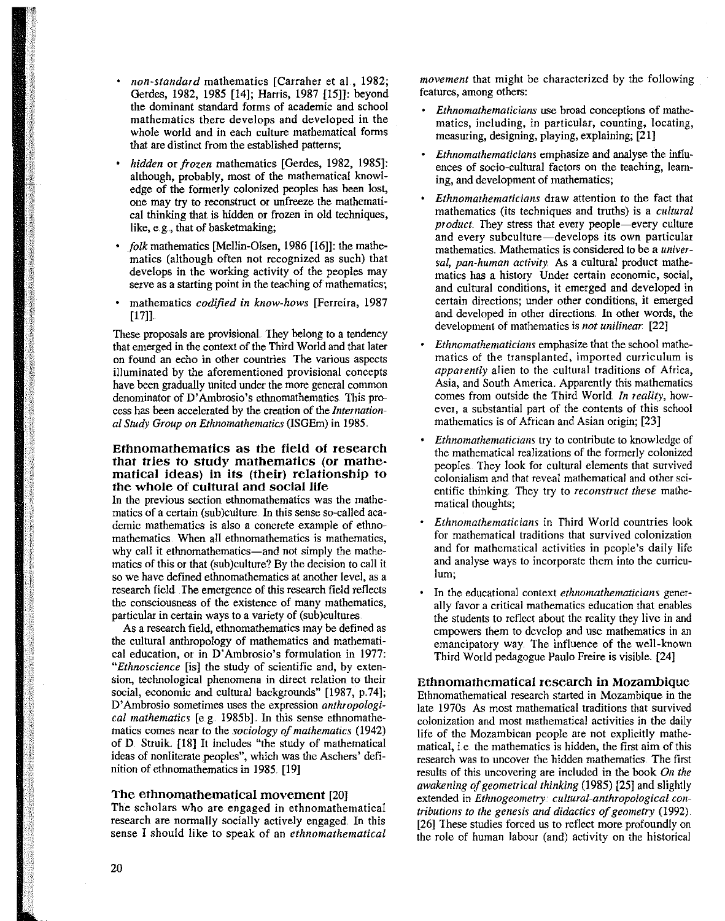- *non-standard* mathematics [Carraher et al , 1982; Gerdes, 1982, 1985 [14]; Harris, 1987 [15]]: beyond the dominant standard forms of academic and school mathematics there develops and developed in the whole world and in each culture mathematical forms that are distinct from the established patterns;
- *hidden* or *frozen* mathematics [Gerdes, 1982, 1985]: although, probably, most of the mathematical knowledge of the formerly colonized peoples has been lost, **one may try to reconstruct or unfreeze the mathemati**cal thinking that is hidden or frozen in old techniques, like, e.g , that of basketmaking;
- *folk* mathematics [Mellin-Olsen, 1986 [16]]: the mathematics (although often not recognized as such) that develops in the working activity of the peoples may **serve as a starting point in the teaching of mathematics;**
- mathematics *codified in know-hows* [Ferreira, 1987  $[17]$ ].

These proposals are provisional. They belong to a tendency that emerged in the context of the Third World and that later **on found an echo in other countries The various aspects**  illuminated by the aforementioned provisional concepts have been gradually united under the more general common **denominator of D'Ambrosio's ethnomathematics. This pro**cess has been accelerated by the creation of the *International Study Group on Ethnomathematics* (ISGEm) in 1985

#### **Ethnomathematics as the field of research that tries to study mathematics (or mathematical ideas) In Its (their) relationship to the whole of cultural and social life**

**In the previous section ethnomathematics was the mathe**matics of a certain (sub)culture. In this sense so-called aca**demic mathematics is also a concrete example of ethnomathematics. When all ethnomathematics is mathematics,**  why call it ethnomathematics—and not simply the mathematics of this or that (sub)culture? By the decision to call it so we have defined ethnomathematics at another level, as a research field The emergence of this research field reflects **the consciousness of the existence of many mathematics,**  particular in certain ways to a variety of (sub)cultures.

As a research field, ethnomathematics may be defined as the cultural anthropology of mathematics and mathematical education, or in D'Ambrosio's formulation in 1977: *"Ethnoscience* [is] the study of scientific and, by exten**sion, technological phenomena in direct relation to their**  social, economic and cultural backgrounds" [1987, p.74]; D'Ambrosio sometimes uses the expression *anthropological mathematics* [e.g. 1985b]. In this sense ethnomathematics comes near to the *sociology of mathematics* (1942) of D Struik. [18] It includes "the study of mathematical ideas of nonliterate peoples", which was the Aschers' definition of ethnomathematics in 1985. [19]

#### **The ethnomathematical movement** [20]

The scholars who are engaged in ethnomathematical research are normally socially actively engaged. In this sense I should like to speak of an *ethnomathematical*  *movement* that might be characterized by the following **features, among others:** 

- *Ethnomathematicians* use broad conceptions of mathe**matics, including, in particular, counting, locating,**  measuring, designing, playing, explaining; [21]
- *Ethnomathematicians* emphasize and analyse the influ**ences of socio-cultural factors on the teaching, learning, and development of mathematics;**
- *Ethnomathematicians* draw attention to the fact that mathematics (its techniques and truths) is a *cultural product*. They stress that every people-every culture and every subculture-develops its own particular **mathematics .. Mathematics is considered to be a** *universal, pan-human activity.* As a cultural product mathe**matics has a history Under certain economic, social,**  and cultural conditions, it emerged and developed in **certain directions; under other conditions, it emerged**  and developed in other directions. In other words, the development of mathematics is *not unilinear* [22]
- *Ethnomathematicians* emphasize that the school mathe**matics of the transplanted, imported curriculum is**  *apparently* alien to the cultural traditions of Africa, Asia, and South America. Apparently this mathematics comes from outside the Third World. *In reality,* however, a substantial part of the contents of this school mathematics is of African and Asian origin; [23]
- *Ethnomathematicians* try to contribute to knowledge of the mathematical realizations of the formerly colonized peoples They look for cultural elements that survived **colonialism and that reveal mathematical and other sci**entific thinking. They try to *reconstruct these* mathematical thoughts;
- *Ethnomathematicians* in Third World countries look **for mathematical traditions that survived colonization**  and for mathematical activities in people's daily life and analyse ways to incorporate them into the curricu**lum;**
- In the educational context *ethnomathematicians* generally favor a critical mathematics education that enables the students to reflect about the reality they live in and **empowers them to develop and use mathematics in an**  emancipatory way. The influence of the well-known Third World pedagogue Paulo Freire is visible. [24]

## **Ethnomathematical research in Mozambique**

Ethnomathematical research started in Mozambique in the late 1970s As most mathematical traditions that survived **colonization and most mathematical activities in the daily**  life of the Mozambican people are not explicitly mathematical, i e the mathematics is hidden, the first aim of this research was to uncover the hidden mathematics. The first results of this uncovering are included in the book *On the awakening of geometrical thinking* (1985) [25] and slightly extended in *Ethnogeometry cultural-anthropological contributions to the genesis and didactics of geometry* (1992) [26] These studies forced us to reflect more profoundly on the role of human labour (and) activity on the historical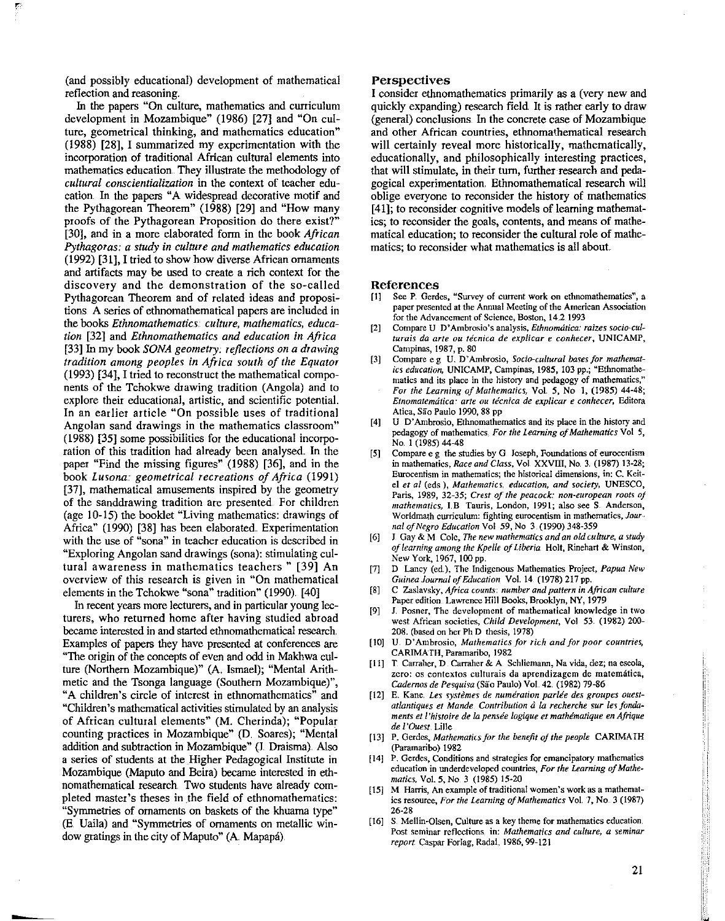(and possibly educational) development of mathematical reflection and reasoning.

In the papers "On culture, mathematics and curriculum development in Mozambique" (1986) [27] and "On culture, geometrical thinking, and mathematics education" (1988) [28], I summarized my experimentation with the incorporation of traditional African cultural elements into mathematics education. They illustrate the methodology of *cultural conscientialization* in the context of teacher education. In the papers "A widespread decorative motif and the Pythagorean Theorem" (1988) [29] and "How many proofs of the Pythagorean Proposition do there exist?" [30], and in a more elaborated form in the book *African Pythagoras.: a study in culture and mathematics education*  (1992) [31], I tried to show how diverse African ornaments and artifacts may be used to create a rich context for the discovery and the demonstration of the so-called Pythagorean Theorem and of related ideas and propositions A series of ethnomathematical papers are included in the books *Ethnomathematics. culture, mathematics, education* [32] and *Ethnomathematics and education in Africa*  [33]ln my book *SONA geometry.: reflections on a drawing tradition among peoples in Africa south of the Equator*  (1993) [34], I tried to reconstruct the mathematical components of the Tchokwe drawing tradition (Angola) and to explore their educational, artistic, and scientific potential. In an earlier article "On possible uses of traditional Angolan sand drawings in the mathematics classroom" (1988) [35] some possibilities for the educational incorporation of this tradition had already been analysed. In the paper "Find the missing figures" (1988) [36], and in the book *Lusona.: geometrical recreations of Africa* (1991) [37], mathematical amusements inspired by the geometry of the sanddrawing tradition are presented. For children (age 10-15) the booklet "Living mathematics: drawings of Africa" (1990) [38] has been elaborated. Experimentation with the use of "sona" in teacher education is described in "Exploring Angolan sand drawings (sona): stimulating cultural awareness in mathematics teachers " [39] An overview of this research is given in "On mathematical elements in the Tchokwe "sona" tradition" (1990). [40]

In recent years more lecturers, and in particular young lecturers, who returned home after having studied abroad became interested in and started ethnomathematical research. Examples of papers they have presented at conferences are "The origin of the concepts of even and odd in Makhwa culture (Northern Mozambique)" (A. Ismael); "Mental Arithmetic and the Tsonga language (Southern Mozambique)", "A children's circle of interest in ethnomathematics" and "Children's mathematical activities stimulated by an analysis of African cultural elements" (M. Cherinda); "Popular counting practices in Mozambique" (D. Soares); "Mental addition and subtraction in Mozambique" (J. Draisma). Also a series of students at the Higher Pedagogical Institute in Mozambique (Maputo and Beira) became interested in ethnomathematical research. Two students have already completed master's theses in the field of ethnomathematics: "Symmetries of ornaments on baskets of the khuama type" (E. Uaila) and "Symmetries of ornaments on metallic window gratings in the city of Maputo" (A Mapapa).

#### **Perspectives**

I consider ethnomathematics primarily as a (very new and quickly expanding) research field It is rather early to draw (general) conclusions. In the concrete case of Mozambique and other African countries, ethnomathematical research will certainly reveal more historically, mathematically, educationally, and philosophically interesting practices, that will stimulate, in their tum, further research and pedagogical experimentation. Ethnomathematical research will oblige everyone to reconsider the history of mathematics [41]; to reconsider cognitive models of learning mathematics; to reconsider the goals, contents, and means of mathematical education; to reconsider the cultural role of mathematics; to reconsider what mathematics is all about

#### References

- [1] See P. Gerdes, "Survey of current work on ethnomathematics", a paper presented at the Annual Meeting of the American Association for the Advancement of Science, Boston, 14.2 1993
- [2] Compare U D'Ambrosio's analysis, *Ethnomdtica.: raizes* socio··cul~ *turais da arte ou ticnica de explicar e conhecer,* UNICAMP, Campinas, 198'7, p. 80
- [3] Compare e g U. D'Ambrosio, Socio-cultural bases for mathematics education, UNICAMP, Campinas, 1985, 103 pp.; "Ethnomathematics and its place in the history and pedagogy of mathematics," *For the Learning of Mathematics,* Vol 5, No 1, (1985) 44~48; *Etnomatemática: arte ou técnica de explicar e conhecer*, Editora Atica, São Paulo 1990, 88 pp
- [4) U D'Ambrosio, Ethnomathematics and its place in the history and pedagogy of mathematics. *For the learning of Mathematics* Vol 5, No. 1 (1985) 44-48
- [5] Compare e g the studies by G Joseph, Foundations of eurocentism in mathematics, *Race and Class,* Vol. XXVIII, No. 3. (1987) 13~28; Eurocentism in mathematics; the historical dimensions, in: C. Keit~ el *eta[* (eds ), *Mathematics, education, and society,* UNESCO, Paris, 1989, 32-35; *Crest of the peacock: non-european roots of mathematics*, I.B. Tauris, London, 1991; also see S. Anderson, Worldmath curriculum: fighting eurocentism in mathematics, *Jour*<sup>1</sup> *nal of Negro Education* Vol 59, No 3 (1990) 348-359
- [ 6] J Gay & M Cole, *The new mathematic.s and an old culture, a study of learning among the Kpelle of Liberia.* Holt, Rinehart & Winston, New York, 1967, 100 pp.
- [7] D Laney (ed.), The Indigenous Mathematics Project, *Papua New Guinea Journal of Education* Vol. 14 (1978) 217 pp.
- [8] C Zaslavsky, *Africa counts: number and pattern in African culture*  Paper edition Lawrence Hill Books, Brooklyn, NY, 1979
- [9] J. Posner, The development of mathematical knowledge in two west African societies, *Child Development,* Vol 53. (1982) 200- 208. (based on her PhD thesis, 19'78)
- [10] U. D'Ambrosio, *Mathematics for rich and for poor countries,*  CARIMATH, Paramaribo, 1982
- [11] T Carraher, D. Carraher & A Schliemann, Na vida, dez; na escola, zero: os contextos culturais da aprendizagem de matemática, Cadernos de Pesquisa (São Paulo) Vol. 42. (1982) 79-86
- [12] E. Kane. Les systèmes de numération parlée des groupes ouest*atlantiques et Mande Contribution d Ia recherche sur les fondaments et l'histoire de Ia pensie logique et mathimatique en Afrique de l'Ouest.* Lille
- [13] P. Gerdes, *Mathematics for the benefit of the people* CARIMAIH (Paramaribo) 1982
- [14] P. Gerdes, Conditions and strategies for emancipatory mathematics education in underdeveloped countries, *For the Learning of* Mathe~ *matic.s,* Vol. *5,* No 3 (1985) 15-20
- [15] M Harris, An example of traditional women's work as a mathematics resource, *For the Learning of Mathematics* Vol. '7, No .. 3 (1987) 26-28
- [16] S. Mellin-Olsen, Culture as a key theme for mathematics education. Post seminar reflections. in: *Mathematics and culture, a seminar report* Caspar Forlag, Radal. 1986,99-121

I .